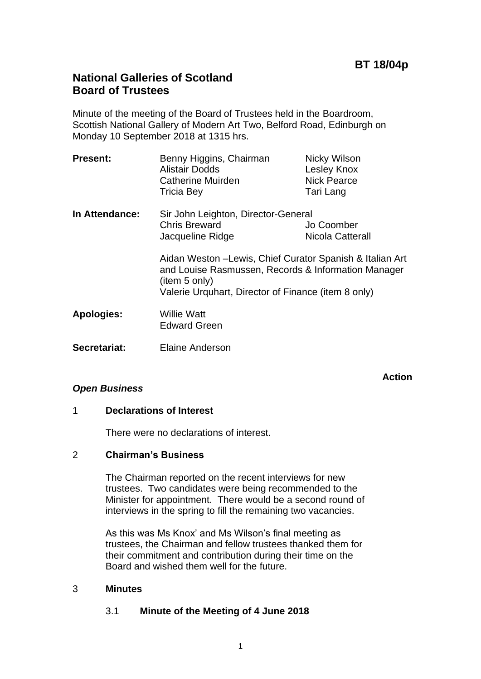**Action**

# **National Galleries of Scotland Board of Trustees**

Minute of the meeting of the Board of Trustees held in the Boardroom, Scottish National Gallery of Modern Art Two, Belford Road, Edinburgh on Monday 10 September 2018 at 1315 hrs.

| <b>Present:</b>   | Benny Higgins, Chairman<br>Alistair Dodds<br>Catherine Muirden<br><b>Tricia Bey</b>                                                                                                     | Nicky Wilson<br>Lesley Knox<br><b>Nick Pearce</b><br>Tari Lang |
|-------------------|-----------------------------------------------------------------------------------------------------------------------------------------------------------------------------------------|----------------------------------------------------------------|
| In Attendance:    | Sir John Leighton, Director-General<br><b>Chris Breward</b><br>Jacqueline Ridge                                                                                                         | Jo Coomber<br>Nicola Catterall                                 |
|                   | Aidan Weston -Lewis, Chief Curator Spanish & Italian Art<br>and Louise Rasmussen, Records & Information Manager<br>(item 5 only)<br>Valerie Urquhart, Director of Finance (item 8 only) |                                                                |
| <b>Apologies:</b> | Willie Watt<br><b>Edward Green</b>                                                                                                                                                      |                                                                |
| Secretariat:      | <b>Elaine Anderson</b>                                                                                                                                                                  |                                                                |

# *Open Business*

# 1 **Declarations of Interest**

There were no declarations of interest.

# 2 **Chairman's Business**

The Chairman reported on the recent interviews for new trustees. Two candidates were being recommended to the Minister for appointment. There would be a second round of interviews in the spring to fill the remaining two vacancies.

As this was Ms Knox' and Ms Wilson's final meeting as trustees, the Chairman and fellow trustees thanked them for their commitment and contribution during their time on the Board and wished them well for the future.

# 3 **Minutes**

# 3.1 **Minute of the Meeting of 4 June 2018**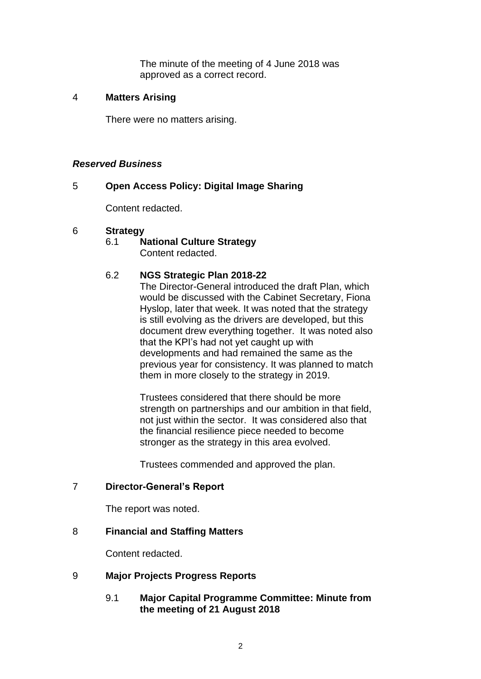The minute of the meeting of 4 June 2018 was approved as a correct record.

### 4 **Matters Arising**

There were no matters arising.

### *Reserved Business*

# 5 **Open Access Policy: Digital Image Sharing**

Content redacted.

### 6 **Strategy**

6.1 **National Culture Strategy** Content redacted.

# 6.2 **NGS Strategic Plan 2018-22**

The Director-General introduced the draft Plan, which would be discussed with the Cabinet Secretary, Fiona Hyslop, later that week. It was noted that the strategy is still evolving as the drivers are developed, but this document drew everything together. It was noted also that the KPI's had not yet caught up with developments and had remained the same as the previous year for consistency. It was planned to match them in more closely to the strategy in 2019.

Trustees considered that there should be more strength on partnerships and our ambition in that field, not just within the sector. It was considered also that the financial resilience piece needed to become stronger as the strategy in this area evolved.

Trustees commended and approved the plan.

# 7 **Director-General's Report**

The report was noted.

# 8 **Financial and Staffing Matters**

Content redacted.

# 9 **Major Projects Progress Reports**

9.1 **Major Capital Programme Committee: Minute from the meeting of 21 August 2018**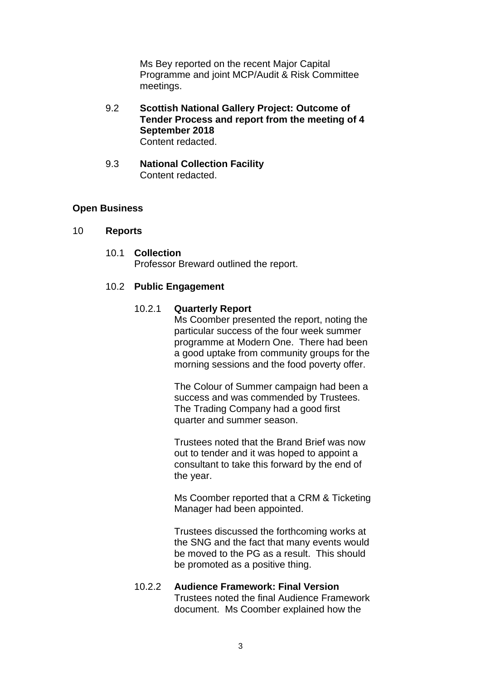Ms Bey reported on the recent Major Capital Programme and joint MCP/Audit & Risk Committee meetings.

- 9.2 **Scottish National Gallery Project: Outcome of Tender Process and report from the meeting of 4 September 2018** Content redacted.
- 9.3 **National Collection Facility** Content redacted.

### **Open Business**

#### 10 **Reports**

10.1 **Collection** Professor Breward outlined the report.

#### 10.2 **Public Engagement**

#### 10.2.1 **Quarterly Report**

Ms Coomber presented the report, noting the particular success of the four week summer programme at Modern One. There had been a good uptake from community groups for the morning sessions and the food poverty offer.

The Colour of Summer campaign had been a success and was commended by Trustees. The Trading Company had a good first quarter and summer season.

Trustees noted that the Brand Brief was now out to tender and it was hoped to appoint a consultant to take this forward by the end of the year.

Ms Coomber reported that a CRM & Ticketing Manager had been appointed.

Trustees discussed the forthcoming works at the SNG and the fact that many events would be moved to the PG as a result. This should be promoted as a positive thing.

### 10.2.2 **Audience Framework: Final Version** Trustees noted the final Audience Framework document. Ms Coomber explained how the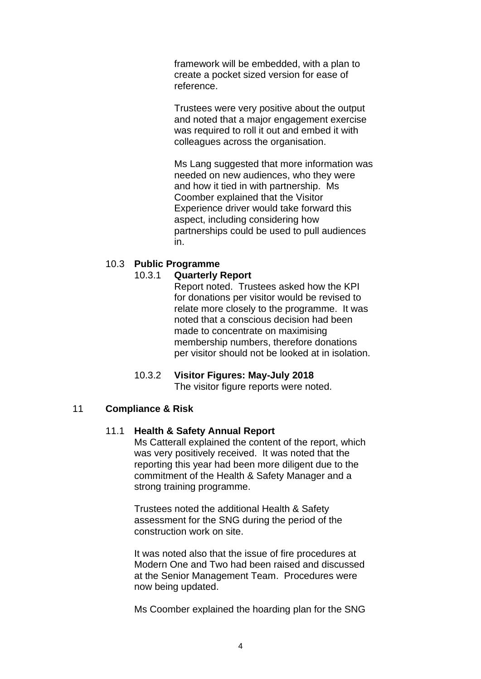framework will be embedded, with a plan to create a pocket sized version for ease of reference.

Trustees were very positive about the output and noted that a major engagement exercise was required to roll it out and embed it with colleagues across the organisation.

Ms Lang suggested that more information was needed on new audiences, who they were and how it tied in with partnership. Ms Coomber explained that the Visitor Experience driver would take forward this aspect, including considering how partnerships could be used to pull audiences in.

# 10.3 **Public Programme**

### 10.3.1 **Quarterly Report**

Report noted. Trustees asked how the KPI for donations per visitor would be revised to relate more closely to the programme. It was noted that a conscious decision had been made to concentrate on maximising membership numbers, therefore donations per visitor should not be looked at in isolation.

# 10.3.2 **Visitor Figures: May-July 2018** The visitor figure reports were noted.

# 11 **Compliance & Risk**

#### 11.1 **Health & Safety Annual Report**

Ms Catterall explained the content of the report, which was very positively received. It was noted that the reporting this year had been more diligent due to the commitment of the Health & Safety Manager and a strong training programme.

Trustees noted the additional Health & Safety assessment for the SNG during the period of the construction work on site.

It was noted also that the issue of fire procedures at Modern One and Two had been raised and discussed at the Senior Management Team. Procedures were now being updated.

Ms Coomber explained the hoarding plan for the SNG